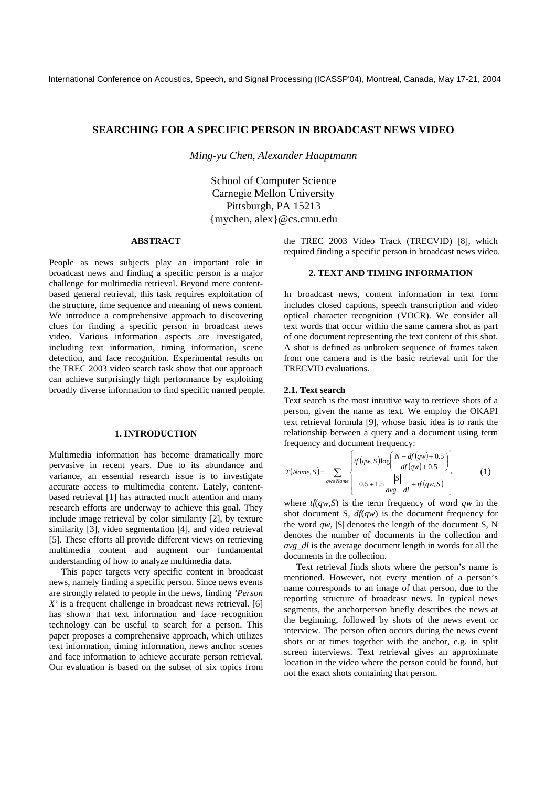# **SEARCHING FOR A SPECIFIC PERSON IN BROADCAST NEWS VIDEO**

*Ming-yu Chen, Alexander Hauptmann* 

School of Computer Science Carnegie Mellon University Pittsburgh, PA 15213 {mychen, alex}@cs.cmu.edu

### **ABSTRACT**

People as news subjects play an important role in broadcast news and finding a specific person is a major challenge for multimedia retrieval. Beyond mere contentbased general retrieval, this task requires exploitation of the structure, time sequence and meaning of news content. We introduce a comprehensive approach to discovering clues for finding a specific person in broadcast news video. Various information aspects are investigated, including text information, timing information, scene detection, and face recognition. Experimental results on the TREC 2003 video search task show that our approach can achieve surprisingly high performance by exploiting broadly diverse information to find specific named people.

### **1. INTRODUCTION**

Multimedia information has become dramatically more pervasive in recent years. Due to its abundance and variance, an essential research issue is to investigate accurate access to multimedia content. Lately, contentbased retrieval [1] has attracted much attention and many research efforts are underway to achieve this goal. They include image retrieval by color similarity [2], by texture similarity [3], video segmentation [4], and video retrieval [5]. These efforts all provide different views on retrieving multimedia content and augment our fundamental understanding of how to analyze multimedia data.

This paper targets very specific content in broadcast news, namely finding a specific person. Since news events are strongly related to people in the news, finding *'Person X'* is a frequent challenge in broadcast news retrieval. [6] has shown that text information and face recognition technology can be useful to search for a person. This paper proposes a comprehensive approach, which utilizes text information, timing information, news anchor scenes and face information to achieve accurate person retrieval. Our evaluation is based on the subset of six topics from

the TREC 2003 Video Track (TRECVID) [8], which required finding a specific person in broadcast news video.

# **2. TEXT AND TIMING INFORMATION**

In broadcast news, content information in text form includes closed captions, speech transcription and video optical character recognition (VOCR). We consider all text words that occur within the same camera shot as part of one document representing the text content of this shot. A shot is defined as unbroken sequence of frames taken from one camera and is the basic retrieval unit for the TRECVID evaluations.

#### **2.1. Text search**

Text search is the most intuitive way to retrieve shots of a person, given the name as text. We employ the OKAPI text retrieval formula [9], whose basic idea is to rank the relationship between a query and a document using term frequency and document frequency:

$$
T(Name, S) = \sum_{qw \in Name} \left\{ \frac{tf(qw, S) \log \left( \frac{N - df(qw) + 0.5}{df(qw) + 0.5} \right)}{0.5 + 1.5 \frac{|S|}{avg - dl} + tf(qw, S)} \right\}
$$
(1)

where  $tf(qw, S)$  is the term frequency of word  $qw$  in the shot document S,  $df(qw)$  is the document frequency for the word  $qw$ ,  $|S|$  denotes the length of the document S, N denotes the number of documents in the collection and *avg\_dl* is the average document length in words for all the documents in the collection.

Text retrieval finds shots where the person's name is mentioned. However, not every mention of a person's name corresponds to an image of that person, due to the reporting structure of broadcast news. In typical news segments, the anchorperson briefly describes the news at the beginning, followed by shots of the news event or interview. The person often occurs during the news event shots or at times together with the anchor, e.g. in split screen interviews. Text retrieval gives an approximate location in the video where the person could be found, but not the exact shots containing that person.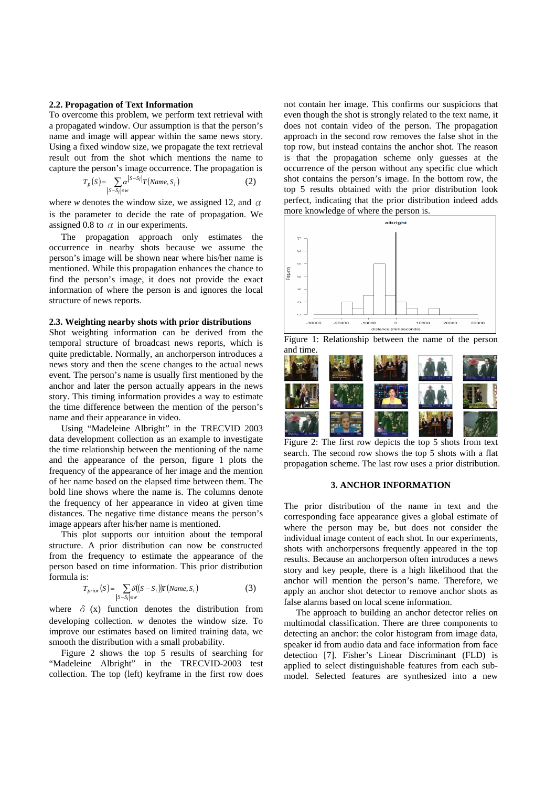#### **2.2. Propagation of Text Information**

To overcome this problem, we perform text retrieval with a propagated window. Our assumption is that the person's name and image will appear within the same news story. Using a fixed window size, we propagate the text retrieval result out from the shot which mentions the name to capture the person's image occurrence. The propagation is

$$
T_p(S) = \sum_{|S-S_i| \in w} \alpha^{|S-S_i|} T(Name, S_i)
$$
 (2)

where *w* denotes the window size, we assigned 12, and  $\alpha$ is the parameter to decide the rate of propagation. We assigned 0.8 to  $\alpha$  in our experiments.

The propagation approach only estimates the occurrence in nearby shots because we assume the person's image will be shown near where his/her name is mentioned. While this propagation enhances the chance to find the person's image, it does not provide the exact information of where the person is and ignores the local structure of news reports.

#### **2.3. Weighting nearby shots with prior distributions**

Shot weighting information can be derived from the temporal structure of broadcast news reports, which is quite predictable. Normally, an anchorperson introduces a news story and then the scene changes to the actual news event. The person's name is usually first mentioned by the anchor and later the person actually appears in the news story. This timing information provides a way to estimate the time difference between the mention of the person's name and their appearance in video.

Using "Madeleine Albright" in the TRECVID 2003 data development collection as an example to investigate the time relationship between the mentioning of the name and the appearance of the person, figure 1 plots the frequency of the appearance of her image and the mention of her name based on the elapsed time between them. The bold line shows where the name is. The columns denote the frequency of her appearance in video at given time distances. The negative time distance means the person's image appears after his/her name is mentioned.

This plot supports our intuition about the temporal structure. A prior distribution can now be constructed from the frequency to estimate the appearance of the person based on time information. This prior distribution formula is:

$$
T_{prior}(S) = \sum_{|S-S_i| \in w} \delta((S-S_i)) T(Name, S_i)
$$
 (3)

where  $\delta$  (x) function denotes the distribution from developing collection. *w* denotes the window size. To improve our estimates based on limited training data, we smooth the distribution with a small probability.

Figure 2 shows the top 5 results of searching for "Madeleine Albright" in the TRECVID-2003 test collection. The top (left) keyframe in the first row does

not contain her image. This confirms our suspicions that even though the shot is strongly related to the text name, it does not contain video of the person. The propagation approach in the second row removes the false shot in the top row, but instead contains the anchor shot. The reason is that the propagation scheme only guesses at the occurrence of the person without any specific clue which shot contains the person's image. In the bottom row, the top 5 results obtained with the prior distribution look perfect, indicating that the prior distribution indeed adds more knowledge of where the person is.







Figure 2: The first row depicts the top 5 shots from text search. The second row shows the top 5 shots with a flat propagation scheme. The last row uses a prior distribution.

# **3. ANCHOR INFORMATION**

The prior distribution of the name in text and the corresponding face appearance gives a global estimate of where the person may be, but does not consider the individual image content of each shot. In our experiments, shots with anchorpersons frequently appeared in the top results. Because an anchorperson often introduces a news story and key people, there is a high likelihood that the anchor will mention the person's name. Therefore, we apply an anchor shot detector to remove anchor shots as false alarms based on local scene information.

The approach to building an anchor detector relies on multimodal classification. There are three components to detecting an anchor: the color histogram from image data, speaker id from audio data and face information from face detection [7]. Fisher's Linear Discriminant (FLD) is applied to select distinguishable features from each submodel. Selected features are synthesized into a new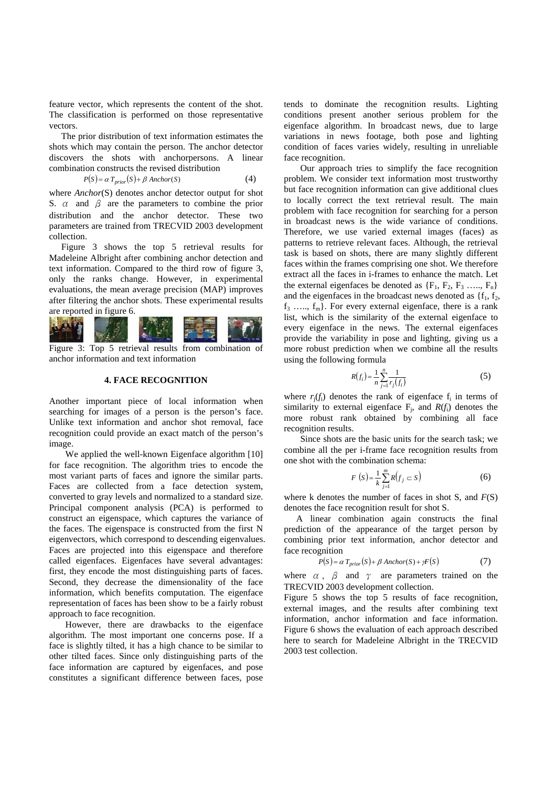feature vector, which represents the content of the shot. The classification is performed on those representative vectors.

The prior distribution of text information estimates the shots which may contain the person. The anchor detector discovers the shots with anchorpersons. A linear combination constructs the revised distribution

$$
P(S) = \alpha T_{prior}(S) + \beta \text{ anchor}(S) \tag{4}
$$

where *Anchor*(S) denotes anchor detector output for shot S.  $\alpha$  and  $\beta$  are the parameters to combine the prior distribution and the anchor detector. These two parameters are trained from TRECVID 2003 development collection.

Figure 3 shows the top 5 retrieval results for Madeleine Albright after combining anchor detection and text information. Compared to the third row of figure 3, only the ranks change. However, in experimental evaluations, the mean average precision (MAP) improves after filtering the anchor shots. These experimental results are reported in figure 6.



Figure 3: Top 5 retrieval results from combination of anchor information and text information

### **4. FACE RECOGNITION**

Another important piece of local information when searching for images of a person is the person's face. Unlike text information and anchor shot removal, face recognition could provide an exact match of the person's image.

We applied the well-known Eigenface algorithm [10] for face recognition. The algorithm tries to encode the most variant parts of faces and ignore the similar parts. Faces are collected from a face detection system, converted to gray levels and normalized to a standard size. Principal component analysis (PCA) is performed to construct an eigenspace, which captures the variance of the faces. The eigenspace is constructed from the first N eigenvectors, which correspond to descending eigenvalues. Faces are projected into this eigenspace and therefore called eigenfaces. Eigenfaces have several advantages: first, they encode the most distinguishing parts of faces. Second, they decrease the dimensionality of the face information, which benefits computation. The eigenface representation of faces has been show to be a fairly robust approach to face recognition.

However, there are drawbacks to the eigenface algorithm. The most important one concerns pose. If a face is slightly tilted, it has a high chance to be similar to other tilted faces. Since only distinguishing parts of the face information are captured by eigenfaces, and pose constitutes a significant difference between faces, pose

tends to dominate the recognition results. Lighting conditions present another serious problem for the eigenface algorithm. In broadcast news, due to large variations in news footage, both pose and lighting condition of faces varies widely, resulting in unreliable face recognition.

Our approach tries to simplify the face recognition problem. We consider text information most trustworthy but face recognition information can give additional clues to locally correct the text retrieval result. The main problem with face recognition for searching for a person in broadcast news is the wide variance of conditions. Therefore, we use varied external images (faces) as patterns to retrieve relevant faces. Although, the retrieval task is based on shots, there are many slightly different faces within the frames comprising one shot. We therefore extract all the faces in i-frames to enhance the match. Let the external eigenfaces be denoted as  ${F_1, F_2, F_3, \ldots, F_n}$ and the eigenfaces in the broadcast news denoted as  $\{f_1, f_2, f_3, g_4, g_5, g_6, g_7, g_8, g_9, g_9, g_0, g_1, g_2, g_3, g_4, g_6, g_7, g_8, g_9, g_0, g_0, g_1, g_2, g_3, g_4, g_7, g_8, g_9, g_0, g_1, g_2, g_3, g_4, g_1, g_2, g_3, g_4, g_6, g_7, g_8, g_1, g_$  $f_3$  …..,  $f_m$ . For every external eigenface, there is a rank list, which is the similarity of the external eigenface to every eigenface in the news. The external eigenfaces provide the variability in pose and lighting, giving us a more robust prediction when we combine all the results using the following formula

$$
R(f_i) = \frac{1}{n} \sum_{j=1}^{n} \frac{1}{r_j(f_i)}
$$
(5)

where  $r_i(f_i)$  denotes the rank of eigenface  $f_i$  in terms of similarity to external eigenface  $F_i$ , and  $R(f_i)$  denotes the more robust rank obtained by combining all face recognition results.

Since shots are the basic units for the search task; we combine all the per i-frame face recognition results from one shot with the combination schema:

$$
F(S) = \frac{1}{k} \sum_{j=1}^{m} R(f_j \subset S)
$$
 (6)

where k denotes the number of faces in shot S, and *F*(S) denotes the face recognition result for shot S.

A linear combination again constructs the final prediction of the appearance of the target person by combining prior text information, anchor detector and face recognition

$$
P(S) = \alpha T_{prior}(S) + \beta \text{ anchor}(S) + \gamma F(S)
$$
 (7)

where  $\alpha$ ,  $\beta$  and  $\gamma$  are parameters trained on the TRECVID 2003 development collection.

Figure 5 shows the top 5 results of face recognition, external images, and the results after combining text information, anchor information and face information. Figure 6 shows the evaluation of each approach described here to search for Madeleine Albright in the TRECVID 2003 test collection.